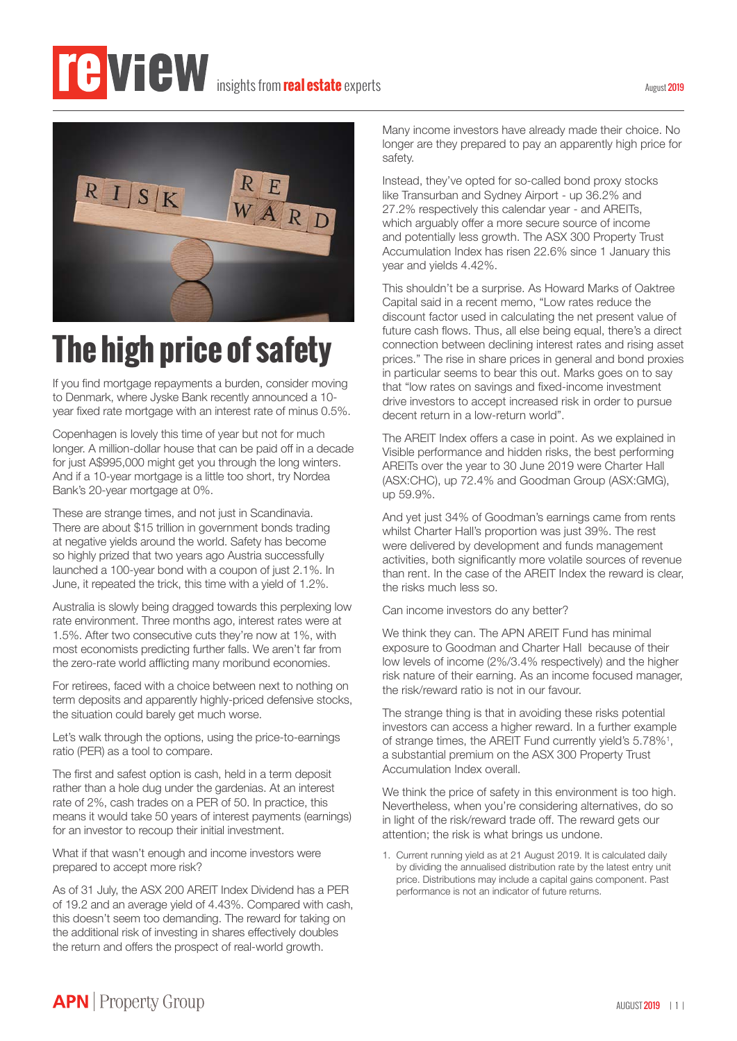

## **The high price of safety**

If you find mortgage repayments a burden, consider moving to Denmark, where Jyske Bank recently announced a 10 year fixed rate mortgage with an interest rate of minus 0.5%.

Copenhagen is lovely this time of year but not for much longer. A million-dollar house that can be paid off in a decade for just A\$995,000 might get you through the long winters. And if a 10-year mortgage is a little too short, try Nordea Bank's 20-year mortgage at 0%.

These are strange times, and not just in Scandinavia. There are about \$15 trillion in government bonds trading at negative yields around the world. Safety has become so highly prized that two years ago Austria successfully launched a 100-year bond with a coupon of just 2.1%. In June, it repeated the trick, this time with a yield of 1.2%.

Australia is slowly being dragged towards this perplexing low rate environment. Three months ago, interest rates were at 1.5%. After two consecutive cuts they're now at 1%, with most economists predicting further falls. We aren't far from the zero-rate world afflicting many moribund economies.

For retirees, faced with a choice between next to nothing on term deposits and apparently highly-priced defensive stocks, the situation could barely get much worse.

Let's walk through the options, using the price-to-earnings ratio (PER) as a tool to compare.

The first and safest option is cash, held in a term deposit rather than a hole dug under the gardenias. At an interest rate of 2%, cash trades on a PER of 50. In practice, this means it would take 50 years of interest payments (earnings) for an investor to recoup their initial investment.

What if that wasn't enough and income investors were prepared to accept more risk?

As of 31 July, the ASX 200 AREIT Index Dividend has a PER of 19.2 and an average yield of 4.43%. Compared with cash, this doesn't seem too demanding. The reward for taking on the additional risk of investing in shares effectively doubles the return and offers the prospect of real-world growth.

Many income investors have already made their choice. No longer are they prepared to pay an apparently high price for safety.

Instead, they've opted for so-called bond proxy stocks like Transurban and Sydney Airport - up 36.2% and 27.2% respectively this calendar year - and AREITs, which arguably offer a more secure source of income and potentially less growth. The ASX 300 Property Trust Accumulation Index has risen 22.6% since 1 January this year and yields 4.42%.

This shouldn't be a surprise. As Howard Marks of Oaktree Capital said in a recent memo, "Low rates reduce the discount factor used in calculating the net present value of future cash flows. Thus, all else being equal, there's a direct connection between declining interest rates and rising asset prices." The rise in share prices in general and bond proxies in particular seems to bear this out. Marks goes on to say that "low rates on savings and fixed-income investment drive investors to accept increased risk in order to pursue decent return in a low-return world".

The AREIT Index offers a case in point. As we explained in Visible performance and hidden risks, the best performing AREITs over the year to 30 June 2019 were Charter Hall (ASX:CHC), up 72.4% and Goodman Group (ASX:GMG), up 59.9%.

And yet just 34% of Goodman's earnings came from rents whilst Charter Hall's proportion was just 39%. The rest were delivered by development and funds management activities, both significantly more volatile sources of revenue than rent. In the case of the AREIT Index the reward is clear, the risks much less so.

Can income investors do any better?

We think they can. The APN AREIT Fund has minimal exposure to Goodman and Charter Hall because of their low levels of income (2%/3.4% respectively) and the higher risk nature of their earning. As an income focused manager, the risk/reward ratio is not in our favour.

The strange thing is that in avoiding these risks potential investors can access a higher reward. In a further example of strange times, the AREIT Fund currently yield's 5.78%<sup>1</sup>, a substantial premium on the ASX 300 Property Trust Accumulation Index overall.

We think the price of safety in this environment is too high. Nevertheless, when you're considering alternatives, do so in light of the risk/reward trade off. The reward gets our attention; the risk is what brings us undone.

1. Current running yield as at 21 August 2019. It is calculated daily by dividing the annualised distribution rate by the latest entry unit price. Distributions may include a capital gains component. Past performance is not an indicator of future returns.